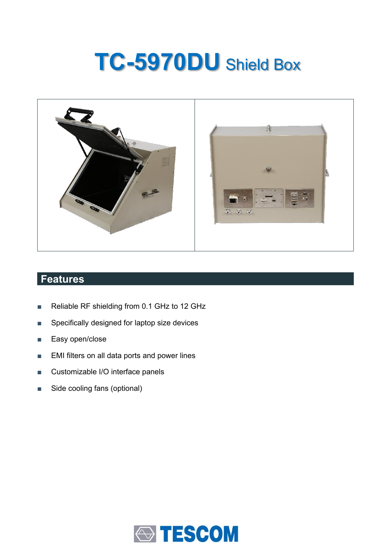# **TC-5970DU** Shield Box



## **Features**

- Reliable RF shielding from 0.1 GHz to 12 GHz
- Specifically designed for laptop size devices
- Easy open/close
- EMI filters on all data ports and power lines
- Customizable I/O interface panels
- Side cooling fans (optional)

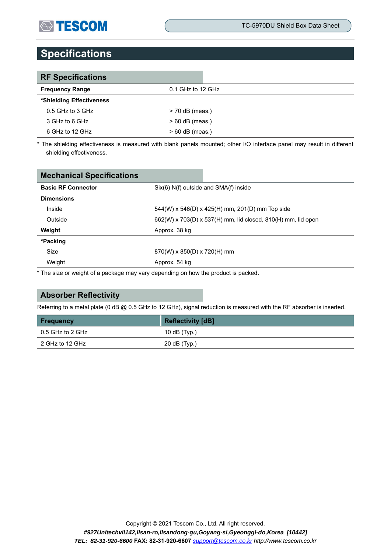## **STESCOM**

## **Specifications**

| <b>RF Specifications</b> |                   |
|--------------------------|-------------------|
| <b>Frequency Range</b>   | 0.1 GHz to 12 GHz |
| *Shielding Effectiveness |                   |
| $0.5$ GHz to 3 GHz       | $>$ 70 dB (meas.) |
| 3 GHz to 6 GHz           | $> 60$ dB (meas.) |
| 6 GHz to 12 GHz          | $>60$ dB (meas.)  |

\* The shielding effectiveness is measured with blank panels mounted; other I/O interface panel may result in different shielding effectiveness.

| Six(6) N(f) outside and SMA(f) inside                        |  |  |
|--------------------------------------------------------------|--|--|
|                                                              |  |  |
| 544(W) x 546(D) x 425(H) mm, 201(D) mm Top side              |  |  |
| 662(W) x 703(D) x 537(H) mm, lid closed, 810(H) mm, lid open |  |  |
| Approx. 38 kg                                                |  |  |
|                                                              |  |  |
|                                                              |  |  |
| Approx. 54 kg                                                |  |  |
|                                                              |  |  |

\* The size or weight of a package may vary depending on how the product is packed.

#### **Absorber Reflectivity**

Referring to a metal plate (0 dB @ 0.5 GHz to 12 GHz), signal reduction is measured with the RF absorber is inserted.

| <b>Frequency</b> | <b>Reflectivity [dB]</b> |
|------------------|--------------------------|
| 0.5 GHz to 2 GHz | 10 dB $(Tvp.)$           |
| 2 GHz to 12 GHz  | 20 dB (Typ.)             |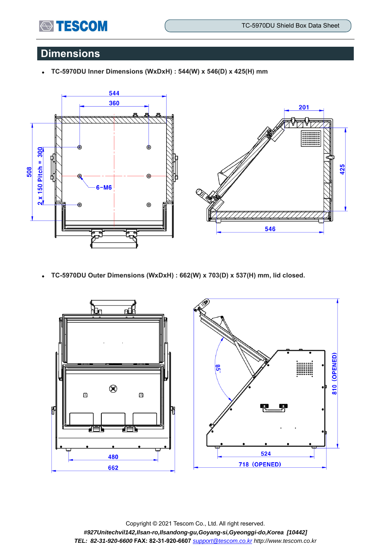

## **Dimensions**

⚫ **TC-5970DU Inner Dimensions (WxDxH) : 544(W) x 546(D) x 425(H) mm** 



⚫ **TC-5970DU Outer Dimensions (WxDxH) : 662(W) x 703(D) x 537(H) mm, lid closed.**



Copyright © 2021 Tescom Co., Ltd. All right reserved. *#927Unitechvil142,Ilsan-ro,Ilsandong-gu,Goyang-si,Gyeonggi-do,Korea [10442] TEL: 82-31-920-6600* **FAX: 82-31-920-6607** *[support@tescom.co.kr](mailto:support@tescom.co.kr) http://www.tescom.co.kr*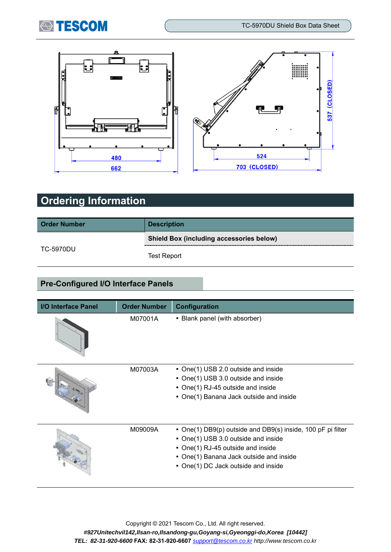



## **Ordering Information**

| <b>Order Number</b> | <b>Description</b>                              |  |  |
|---------------------|-------------------------------------------------|--|--|
|                     | <b>Shield Box (including accessories below)</b> |  |  |
| TC-5970DU           | <b>Test Report</b>                              |  |  |

### **Pre-Configured I/O Interface Panels**

| <b>I/O Interface Panel</b> | <b>Order Number</b> | Configuration                                                                                                                                                                                                             |
|----------------------------|---------------------|---------------------------------------------------------------------------------------------------------------------------------------------------------------------------------------------------------------------------|
|                            | M07001A             | • Blank panel (with absorber)                                                                                                                                                                                             |
|                            | M07003A             | • One(1) USB 2.0 outside and inside<br>• One(1) USB 3.0 outside and inside<br>• One(1) RJ-45 outside and inside<br>• One(1) Banana Jack outside and inside                                                                |
|                            | M09009A             | • One(1) DB9(p) outside and DB9(s) inside, 100 pF pi filter<br>• One(1) USB 3.0 outside and inside<br>• One(1) RJ-45 outside and inside<br>• One(1) Banana Jack outside and inside<br>• One(1) DC Jack outside and inside |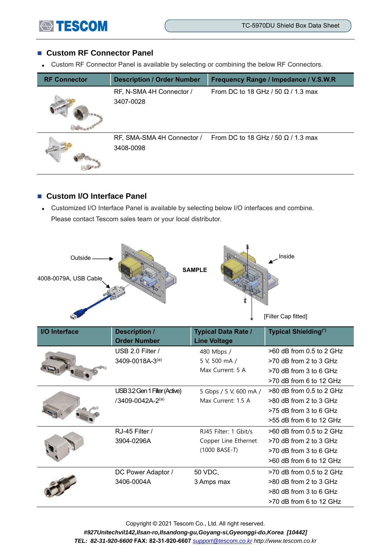

#### ■ Custom RF Connector Panel

⚫ Custom RF Connector Panel is available by selecting or combining the below RF Connectors.

| <b>RF Connector</b> | <b>Description / Order Number</b>       | Frequency Range / Impedance / V.S.W.R     |
|---------------------|-----------------------------------------|-------------------------------------------|
|                     | RF, N-SMA 4H Connector /<br>3407-0028   | From DC to 18 GHz / 50 $\Omega$ / 1.3 max |
|                     | RF, SMA-SMA 4H Connector /<br>3408-0098 | From DC to 18 GHz / 50 $\Omega$ / 1.3 max |

#### ■ Custom I/O Interface Panel

⚫ Customized I/O Interface Panel is available by selecting below I/O interfaces and combine. Please contact Tescom sales team or your local distributor.



| I/O Interface | <b>Description /</b><br><b>Order Number</b> | <b>Typical Data Rate /</b><br><b>Line Voltage</b> | <b>Typical Shielding</b> <sup>(*)</sup> |
|---------------|---------------------------------------------|---------------------------------------------------|-----------------------------------------|
|               | USB 2.0 Filter /                            | 480 Mbps /                                        | >60 dB from 0.5 to 2 GHz                |
|               | 3409-0018A-3(a)                             | 5 V, 500 mA /                                     | $>70$ dB from 2 to 3 GHz                |
|               |                                             | Max Current: 5 A                                  | $>70$ dB from 3 to 6 GHz                |
|               |                                             |                                                   | $>$ 70 dB from 6 to 12 GHz              |
|               | USB 3.2 Gen 1 Filter (Active)               | 5 Gbps / 5 V, 600 mA /                            | $>80$ dB from 0.5 to 2 GHz              |
|               | /3409-0042A-2(a)                            | Max Current: 1.5 A                                | $>80$ dB from 2 to 3 GHz                |
|               |                                             |                                                   | $>75$ dB from 3 to 6 GHz                |
|               |                                             |                                                   | $>55$ dB from 6 to 12 GHz               |
|               | RJ-45 Filter /                              | RJ45 Filter: 1 Gbit/s                             | $>60$ dB from 0.5 to 2 GHz              |
|               | 3904-0296A                                  | Copper Line Ethernet                              | $>70$ dB from 2 to 3 GHz                |
|               |                                             | (1000 BASE-T)                                     | $>70$ dB from 3 to 6 GHz                |
|               |                                             |                                                   | $>60$ dB from 6 to 12 GHz               |
|               | DC Power Adaptor /                          | 50 VDC,                                           | $>70$ dB from 0.5 to 2 GHz              |
|               | 3406-0004A                                  | 3 Amps max                                        | $>80$ dB from 2 to 3 GHz                |
|               |                                             |                                                   | >80 dB from 3 to 6 GHz                  |
|               |                                             |                                                   | $>70$ dB from 6 to 12 GHz               |

Copyright © 2021 Tescom Co., Ltd. All right reserved. *#927Unitechvil142,Ilsan-ro,Ilsandong-gu,Goyang-si,Gyeonggi-do,Korea [10442] TEL: 82-31-920-6600* **FAX: 82-31-920-6607** *[support@tescom.co.kr](mailto:support@tescom.co.kr) http://www.tescom.co.kr*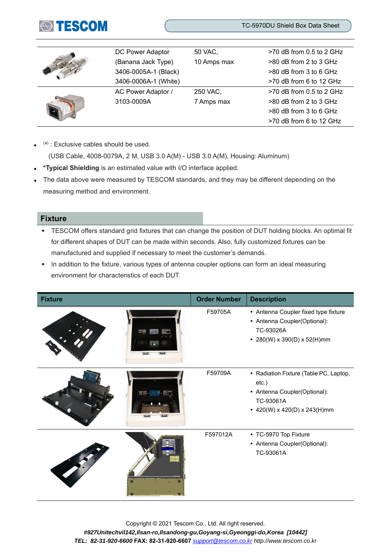

|  | DC Power Adaptor     | 50 VAC,     | $>70$ dB from 0.5 to 2 GHz |
|--|----------------------|-------------|----------------------------|
|  | (Banana Jack Type)   | 10 Amps max | >80 dB from 2 to 3 GHz     |
|  | 3406-0005A-1 (Black) |             | $>80$ dB from 3 to 6 GHz   |
|  | 3406-0006A-1 (White) |             | >70 dB from 6 to 12 GHz    |
|  | AC Power Adaptor /   | 250 VAC,    | $>70$ dB from 0.5 to 2 GHz |
|  | 3103-0009A           | 7 Amps max  | >80 dB from 2 to 3 GHz     |
|  |                      |             | $>80$ dB from 3 to 6 GHz   |
|  |                      |             | >70 dB from 6 to 12 GHz    |

 $\bullet$  $(a)$  : Exclusive cables should be used.

(USB Cable, 4008-0079A, 2 M, USB 3.0 A(M) - USB 3.0 A(M), Housing: Aluminum)

- ⚫ **\*Typical Shielding** is an estimated value with I/O interface applied.
- The data above were measured by TESCOM standards, and they may be different depending on the measuring method and environment.

#### **Fixture**

- ⚫ TESCOM offers standard grid fixtures that can change the position of DUT holding blocks. An optimal fit for different shapes of DUT can be made within seconds. Also, fully customized fixtures can be manufactured and supplied if necessary to meet the customer's demands.
- In addition to the fixture, various types of antenna coupler options can form an ideal measuring environment for characteristics of each DUT.

| <b>Fixture</b> | <b>Order Number</b> | <b>Description</b>                                                                                                              |
|----------------|---------------------|---------------------------------------------------------------------------------------------------------------------------------|
|                | F59705A             | • Antenna Coupler fixed type fixture<br>• Antenna Coupler(Optional):<br>TC-93026A<br>• 280(W) x 390(D) x 52(H)mm                |
|                | F59709A             | • Radiation Fixture (Table PC, Laptop,<br>$etc.$ )<br>• Antenna Coupler(Optional):<br>TC-93061A<br>• 420(W) x 420(D) x 243(H)mm |
|                | F597012A            | • TC-5970 Top Fixture<br>• Antenna Coupler(Optional):<br>TC-93061A                                                              |

Copyright © 2021 Tescom Co., Ltd. All right reserved. *#927Unitechvil142,Ilsan-ro,Ilsandong-gu,Goyang-si,Gyeonggi-do,Korea [10442] TEL: 82-31-920-6600* **FAX: 82-31-920-6607** *[support@tescom.co.kr](mailto:support@tescom.co.kr) http://www.tescom.co.kr*